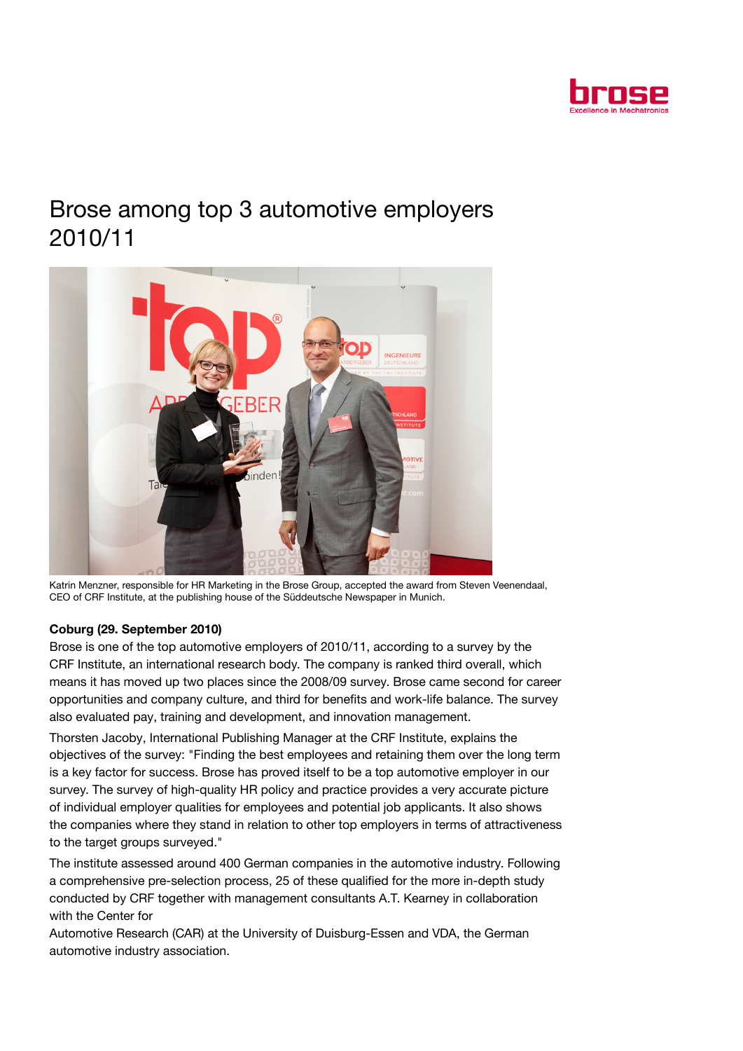

## Brose among top 3 automotive employers 2010/11



Katrin Menzner, responsible for HR Marketing in the Brose Group, accepted the award from Steven Veenendaal, CEO of CRF Institute, at the publishing house of the Süddeutsche Newspaper in Munich.

## Coburg (29. September 2010)

Brose is one of the top automotive employers of 2010/11, according to a survey by the CRF Institute, an international research body. The company is ranked third overall, which means it has moved up two places since the 2008/09 survey. Brose came second for career opportunities and company culture, and third for benefits and work-life balance. The survey also evaluated pay, training and development, and innovation management.

Thorsten Jacoby, International Publishing Manager at the CRF Institute, explains the objectives of the survey: "Finding the best employees and retaining them over the long term is a key factor for success. Brose has proved itself to be a top automotive employer in our survey. The survey of high-quality HR policy and practice provides a very accurate picture of individual employer qualities for employees and potential job applicants. It also shows the companies where they stand in relation to other top employers in terms of attractiveness to the target groups surveyed."

The institute assessed around 400 German companies in the automotive industry. Following a comprehensive pre-selection process, 25 of these qualified for the more in-depth study conducted by CRF together with management consultants A.T. Kearney in collaboration with the Center for

Automotive Research (CAR) at the University of Duisburg-Essen and VDA, the German automotive industry association.